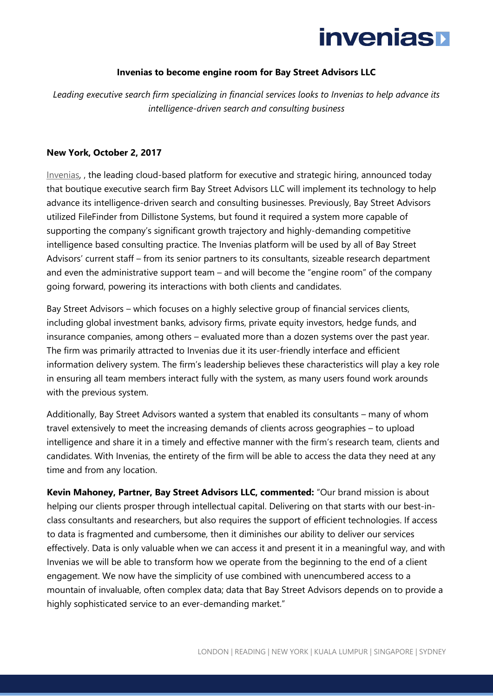## **invenias**

## **Invenias to become engine room for Bay Street Advisors LLC**

*Leading executive search firm specializing in financial services looks to Invenias to help advance its intelligence-driven search and consulting business*

### **New York, October 2, 2017**

[Invenias,](http://www.invenias.com/) , the leading cloud-based platform for executive and strategic hiring, announced today that boutique executive search firm Bay Street Advisors LLC will implement its technology to help advance its intelligence-driven search and consulting businesses. Previously, Bay Street Advisors utilized FileFinder from Dillistone Systems, but found it required a system more capable of supporting the company's significant growth trajectory and highly-demanding competitive intelligence based consulting practice. The Invenias platform will be used by all of Bay Street Advisors' current staff – from its senior partners to its consultants, sizeable research department and even the administrative support team – and will become the "engine room" of the company going forward, powering its interactions with both clients and candidates.

Bay Street Advisors – which focuses on a highly selective group of financial services clients, including global investment banks, advisory firms, private equity investors, hedge funds, and insurance companies, among others – evaluated more than a dozen systems over the past year. The firm was primarily attracted to Invenias due it its user-friendly interface and efficient information delivery system. The firm's leadership believes these characteristics will play a key role in ensuring all team members interact fully with the system, as many users found work arounds with the previous system.

Additionally, Bay Street Advisors wanted a system that enabled its consultants – many of whom travel extensively to meet the increasing demands of clients across geographies – to upload intelligence and share it in a timely and effective manner with the firm's research team, clients and candidates. With Invenias, the entirety of the firm will be able to access the data they need at any time and from any location.

**Kevin Mahoney, Partner, Bay Street Advisors LLC, commented:** "Our brand mission is about helping our clients prosper through intellectual capital. Delivering on that starts with our best-inclass consultants and researchers, but also requires the support of efficient technologies. If access to data is fragmented and cumbersome, then it diminishes our ability to deliver our services effectively. Data is only valuable when we can access it and present it in a meaningful way, and with Invenias we will be able to transform how we operate from the beginning to the end of a client engagement. We now have the simplicity of use combined with unencumbered access to a mountain of invaluable, often complex data; data that Bay Street Advisors depends on to provide a highly sophisticated service to an ever-demanding market."